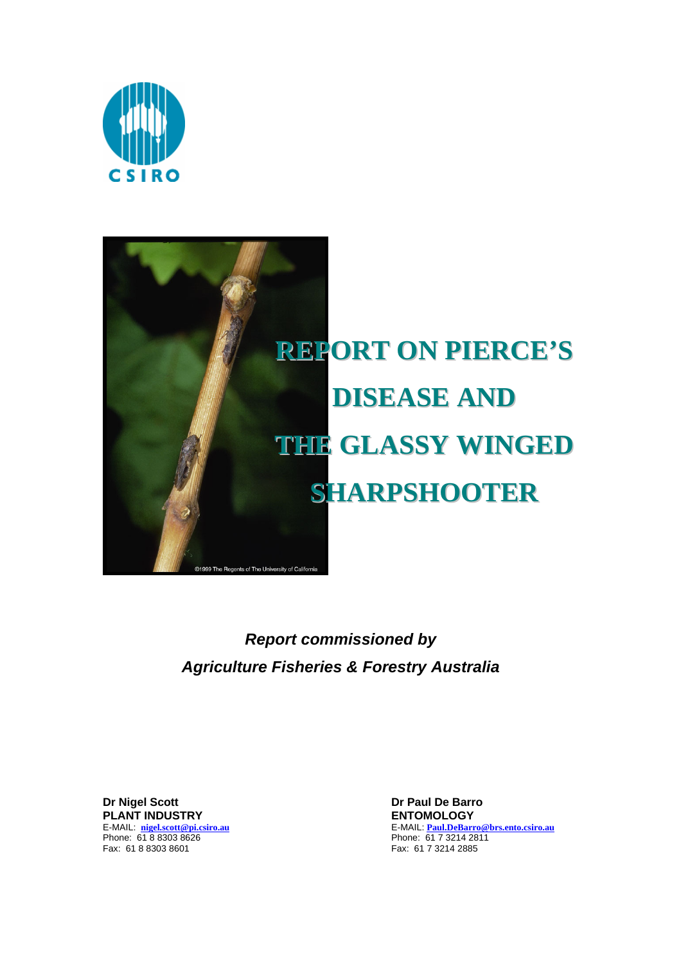



*Report commissioned by Agriculture Fisheries & Forestry Australia*

**Dr Nigel Scott** Dr Paul De Barro **PLANT INDUSTRY ENTOMOLOGY**  E-MAIL: <u>nigel.scott@pi.csiro.au</u><br>Phone: 61 8 8303 8626<br>Fax: 61 8 8303 8601

E-MAIL: **Paul.DeBarro@brs.ento.csiro.au** Phone: 61 7 3214 2811 Fax: 61 7 3214 2885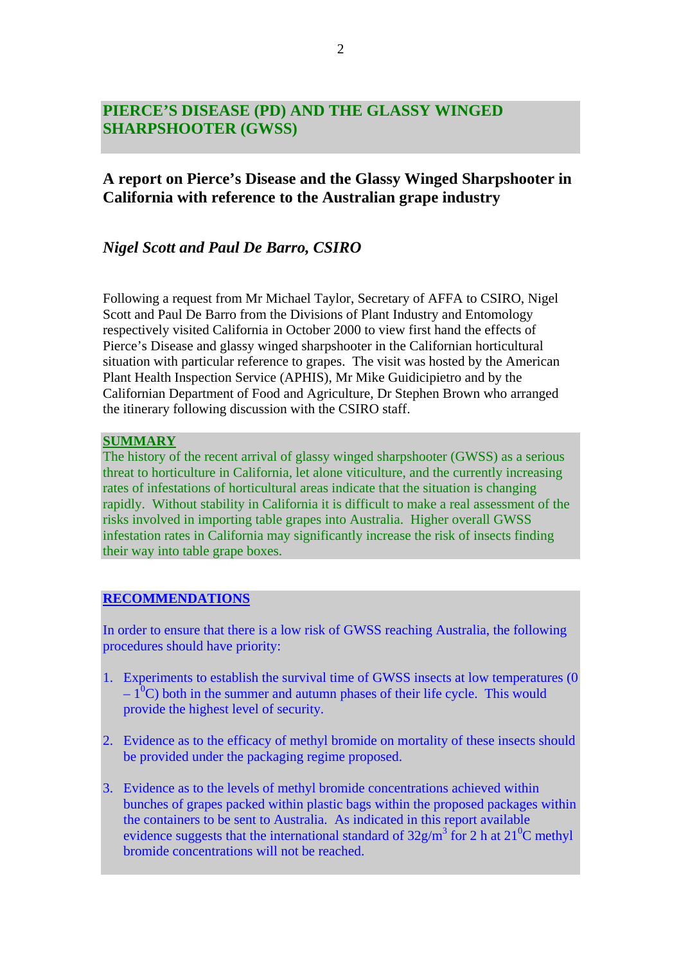# **PIERCE'S DISEASE (PD) AND THE GLASSY WINGED SHARPSHOOTER (GWSS)**

# **A report on Pierce's Disease and the Glassy Winged Sharpshooter in California with reference to the Australian grape industry**

## *Nigel Scott and Paul De Barro, CSIRO*

Following a request from Mr Michael Taylor, Secretary of AFFA to CSIRO, Nigel Scott and Paul De Barro from the Divisions of Plant Industry and Entomology respectively visited California in October 2000 to view first hand the effects of Pierce's Disease and glassy winged sharpshooter in the Californian horticultural situation with particular reference to grapes. The visit was hosted by the American Plant Health Inspection Service (APHIS), Mr Mike Guidicipietro and by the Californian Department of Food and Agriculture, Dr Stephen Brown who arranged the itinerary following discussion with the CSIRO staff.

#### **SUMMARY**

The history of the recent arrival of glassy winged sharpshooter (GWSS) as a serious threat to horticulture in California, let alone viticulture, and the currently increasing rates of infestations of horticultural areas indicate that the situation is changing rapidly. Without stability in California it is difficult to make a real assessment of the risks involved in importing table grapes into Australia. Higher overall GWSS infestation rates in California may significantly increase the risk of insects finding their way into table grape boxes.

## **RECOMMENDATIONS**

In order to ensure that there is a low risk of GWSS reaching Australia, the following procedures should have priority:

- 1. Experiments to establish the survival time of GWSS insects at low temperatures (0  $-1^{0}$ C) both in the summer and autumn phases of their life cycle. This would provide the highest level of security.
- 2. Evidence as to the efficacy of methyl bromide on mortality of these insects should be provided under the packaging regime proposed.
- 3. Evidence as to the levels of methyl bromide concentrations achieved within bunches of grapes packed within plastic bags within the proposed packages within the containers to be sent to Australia. As indicated in this report available evidence suggests that the international standard of  $32g/m^3$  for 2 h at  $21^0C$  methyl bromide concentrations will not be reached.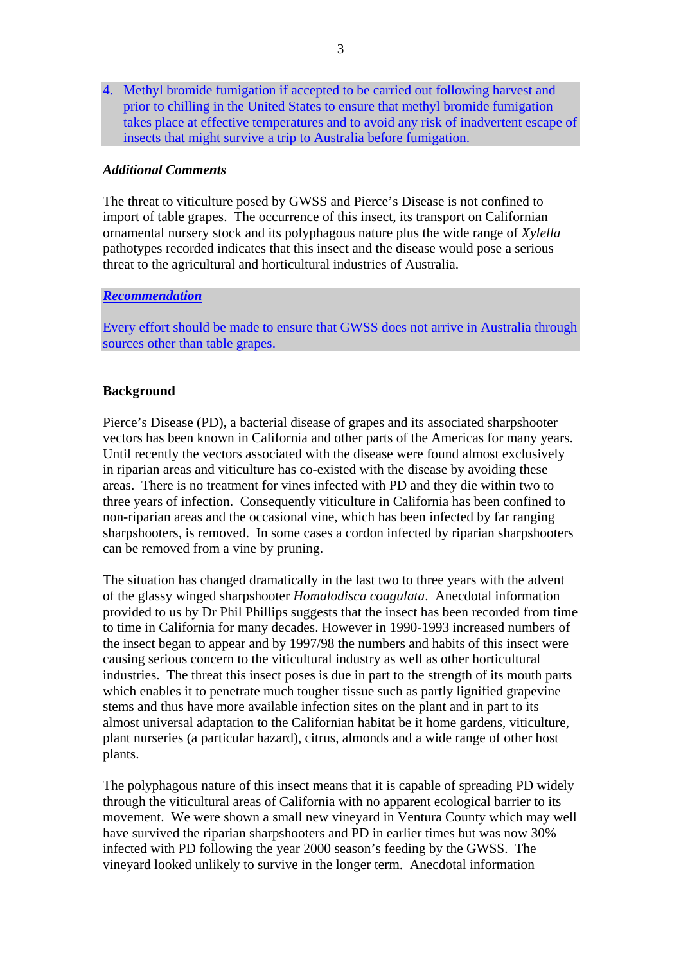4. Methyl bromide fumigation if accepted to be carried out following harvest and prior to chilling in the United States to ensure that methyl bromide fumigation takes place at effective temperatures and to avoid any risk of inadvertent escape of insects that might survive a trip to Australia before fumigation.

#### *Additional Comments*

The threat to viticulture posed by GWSS and Pierce's Disease is not confined to import of table grapes. The occurrence of this insect, its transport on Californian ornamental nursery stock and its polyphagous nature plus the wide range of *Xylella* pathotypes recorded indicates that this insect and the disease would pose a serious threat to the agricultural and horticultural industries of Australia.

#### *Recommendation*

Every effort should be made to ensure that GWSS does not arrive in Australia through sources other than table grapes.

#### **Background**

Pierce's Disease (PD), a bacterial disease of grapes and its associated sharpshooter vectors has been known in California and other parts of the Americas for many years. Until recently the vectors associated with the disease were found almost exclusively in riparian areas and viticulture has co-existed with the disease by avoiding these areas. There is no treatment for vines infected with PD and they die within two to three years of infection. Consequently viticulture in California has been confined to non-riparian areas and the occasional vine, which has been infected by far ranging sharpshooters, is removed. In some cases a cordon infected by riparian sharpshooters can be removed from a vine by pruning.

The situation has changed dramatically in the last two to three years with the advent of the glassy winged sharpshooter *Homalodisca coagulata*. Anecdotal information provided to us by Dr Phil Phillips suggests that the insect has been recorded from time to time in California for many decades. However in 1990-1993 increased numbers of the insect began to appear and by 1997/98 the numbers and habits of this insect were causing serious concern to the viticultural industry as well as other horticultural industries. The threat this insect poses is due in part to the strength of its mouth parts which enables it to penetrate much tougher tissue such as partly lignified grapevine stems and thus have more available infection sites on the plant and in part to its almost universal adaptation to the Californian habitat be it home gardens, viticulture, plant nurseries (a particular hazard), citrus, almonds and a wide range of other host plants.

The polyphagous nature of this insect means that it is capable of spreading PD widely through the viticultural areas of California with no apparent ecological barrier to its movement. We were shown a small new vineyard in Ventura County which may well have survived the riparian sharpshooters and PD in earlier times but was now 30% infected with PD following the year 2000 season's feeding by the GWSS. The vineyard looked unlikely to survive in the longer term. Anecdotal information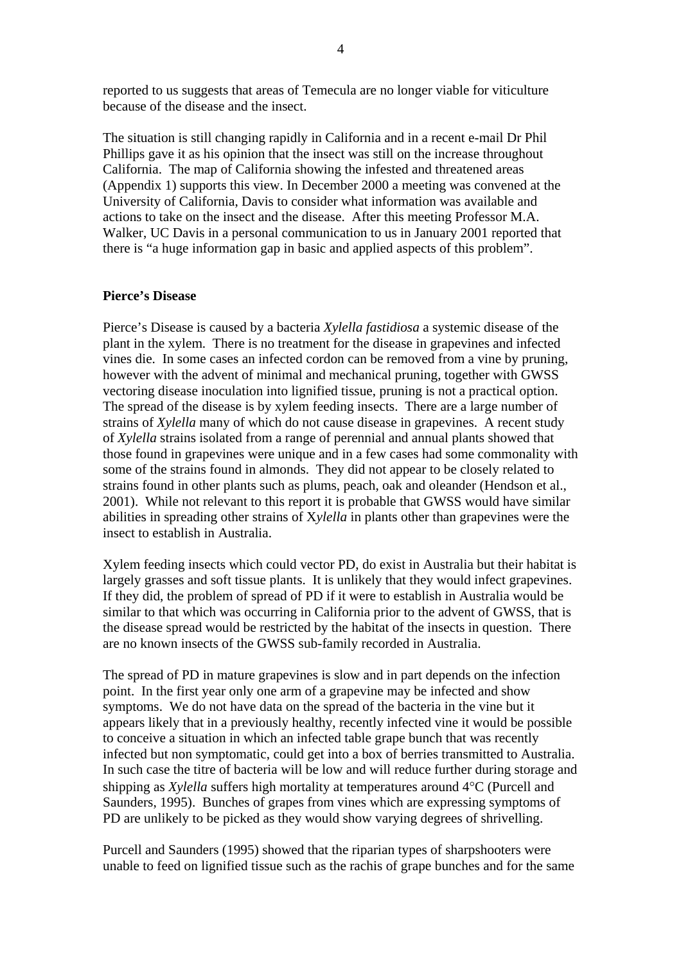reported to us suggests that areas of Temecula are no longer viable for viticulture because of the disease and the insect.

The situation is still changing rapidly in California and in a recent e-mail Dr Phil Phillips gave it as his opinion that the insect was still on the increase throughout California. The map of California showing the infested and threatened areas (Appendix 1) supports this view. In December 2000 a meeting was convened at the University of California, Davis to consider what information was available and actions to take on the insect and the disease. After this meeting Professor M.A. Walker, UC Davis in a personal communication to us in January 2001 reported that there is "a huge information gap in basic and applied aspects of this problem".

#### **Pierce's Disease**

Pierce's Disease is caused by a bacteria *Xylella fastidiosa* a systemic disease of the plant in the xylem. There is no treatment for the disease in grapevines and infected vines die. In some cases an infected cordon can be removed from a vine by pruning, however with the advent of minimal and mechanical pruning, together with GWSS vectoring disease inoculation into lignified tissue, pruning is not a practical option. The spread of the disease is by xylem feeding insects. There are a large number of strains of *Xylella* many of which do not cause disease in grapevines. A recent study of *Xylella* strains isolated from a range of perennial and annual plants showed that those found in grapevines were unique and in a few cases had some commonality with some of the strains found in almonds. They did not appear to be closely related to strains found in other plants such as plums, peach, oak and oleander (Hendson et al., 2001). While not relevant to this report it is probable that GWSS would have similar abilities in spreading other strains of X*ylella* in plants other than grapevines were the insect to establish in Australia.

Xylem feeding insects which could vector PD, do exist in Australia but their habitat is largely grasses and soft tissue plants. It is unlikely that they would infect grapevines. If they did, the problem of spread of PD if it were to establish in Australia would be similar to that which was occurring in California prior to the advent of GWSS, that is the disease spread would be restricted by the habitat of the insects in question. There are no known insects of the GWSS sub-family recorded in Australia.

The spread of PD in mature grapevines is slow and in part depends on the infection point. In the first year only one arm of a grapevine may be infected and show symptoms. We do not have data on the spread of the bacteria in the vine but it appears likely that in a previously healthy, recently infected vine it would be possible to conceive a situation in which an infected table grape bunch that was recently infected but non symptomatic, could get into a box of berries transmitted to Australia. In such case the titre of bacteria will be low and will reduce further during storage and shipping as *Xylella* suffers high mortality at temperatures around 4°C (Purcell and Saunders, 1995). Bunches of grapes from vines which are expressing symptoms of PD are unlikely to be picked as they would show varying degrees of shrivelling.

Purcell and Saunders (1995) showed that the riparian types of sharpshooters were unable to feed on lignified tissue such as the rachis of grape bunches and for the same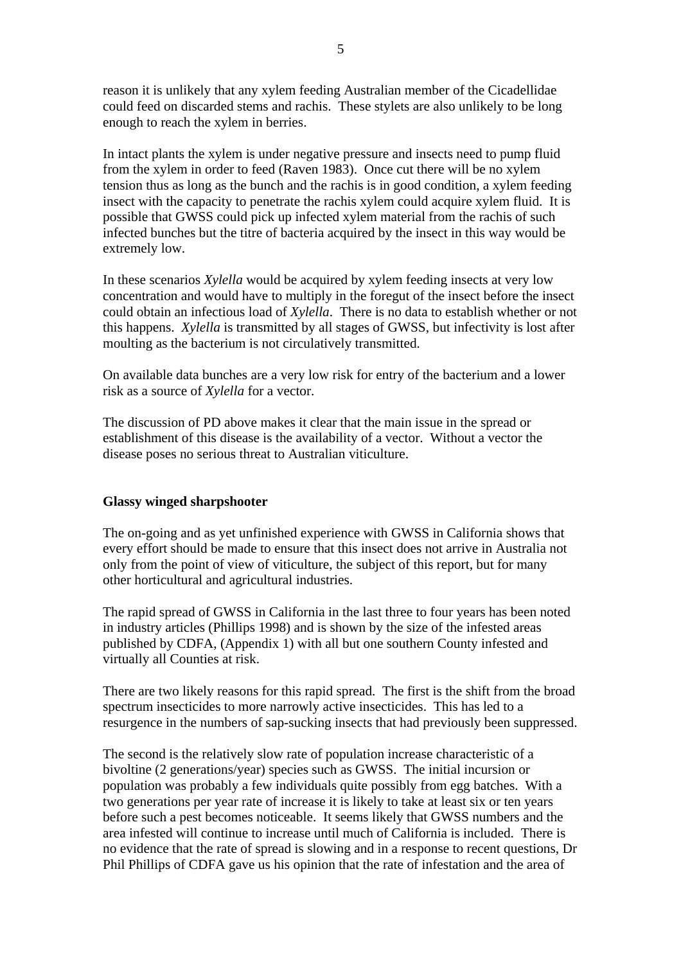reason it is unlikely that any xylem feeding Australian member of the Cicadellidae could feed on discarded stems and rachis. These stylets are also unlikely to be long enough to reach the xylem in berries.

In intact plants the xylem is under negative pressure and insects need to pump fluid from the xylem in order to feed (Raven 1983). Once cut there will be no xylem tension thus as long as the bunch and the rachis is in good condition, a xylem feeding insect with the capacity to penetrate the rachis xylem could acquire xylem fluid. It is possible that GWSS could pick up infected xylem material from the rachis of such infected bunches but the titre of bacteria acquired by the insect in this way would be extremely low.

In these scenarios *Xylella* would be acquired by xylem feeding insects at very low concentration and would have to multiply in the foregut of the insect before the insect could obtain an infectious load of *Xylella*. There is no data to establish whether or not this happens. *Xylella* is transmitted by all stages of GWSS, but infectivity is lost after moulting as the bacterium is not circulatively transmitted.

On available data bunches are a very low risk for entry of the bacterium and a lower risk as a source of *Xylella* for a vector.

The discussion of PD above makes it clear that the main issue in the spread or establishment of this disease is the availability of a vector. Without a vector the disease poses no serious threat to Australian viticulture.

#### **Glassy winged sharpshooter**

The on-going and as yet unfinished experience with GWSS in California shows that every effort should be made to ensure that this insect does not arrive in Australia not only from the point of view of viticulture, the subject of this report, but for many other horticultural and agricultural industries.

The rapid spread of GWSS in California in the last three to four years has been noted in industry articles (Phillips 1998) and is shown by the size of the infested areas published by CDFA, (Appendix 1) with all but one southern County infested and virtually all Counties at risk.

There are two likely reasons for this rapid spread. The first is the shift from the broad spectrum insecticides to more narrowly active insecticides. This has led to a resurgence in the numbers of sap-sucking insects that had previously been suppressed.

The second is the relatively slow rate of population increase characteristic of a bivoltine (2 generations/year) species such as GWSS. The initial incursion or population was probably a few individuals quite possibly from egg batches. With a two generations per year rate of increase it is likely to take at least six or ten years before such a pest becomes noticeable. It seems likely that GWSS numbers and the area infested will continue to increase until much of California is included. There is no evidence that the rate of spread is slowing and in a response to recent questions, Dr Phil Phillips of CDFA gave us his opinion that the rate of infestation and the area of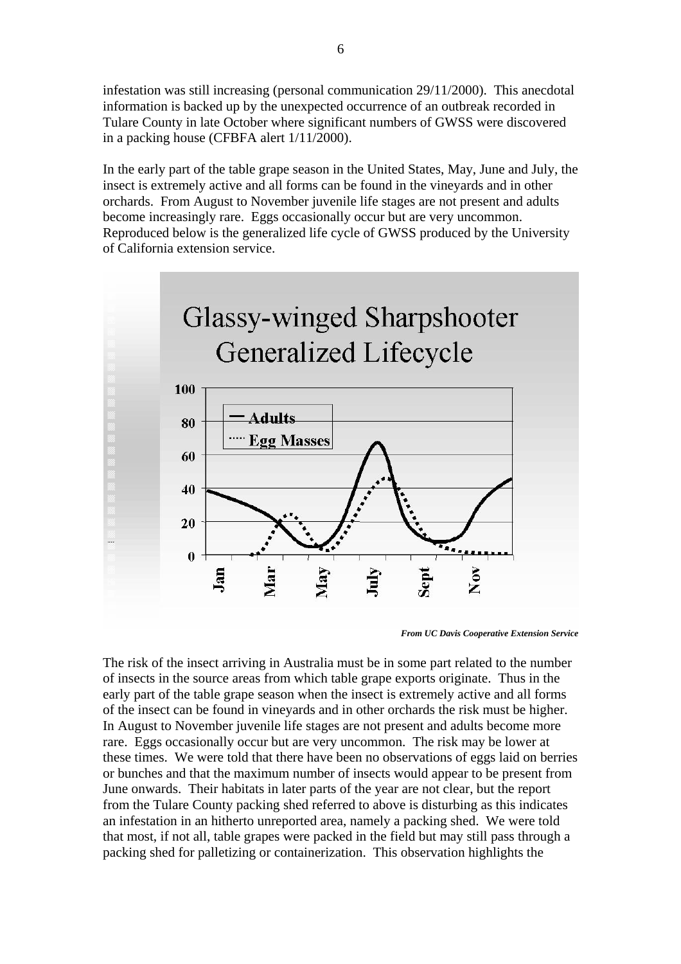infestation was still increasing (personal communication 29/11/2000). This anecdotal information is backed up by the unexpected occurrence of an outbreak recorded in Tulare County in late October where significant numbers of GWSS were discovered in a packing house (CFBFA alert 1/11/2000).

In the early part of the table grape season in the United States, May, June and July, the insect is extremely active and all forms can be found in the vineyards and in other orchards. From August to November juvenile life stages are not present and adults become increasingly rare. Eggs occasionally occur but are very uncommon. Reproduced below is the generalized life cycle of GWSS produced by the University of California extension service.



*From UC Davis Cooperative Extension Service* 

The risk of the insect arriving in Australia must be in some part related to the number of insects in the source areas from which table grape exports originate. Thus in the early part of the table grape season when the insect is extremely active and all forms of the insect can be found in vineyards and in other orchards the risk must be higher. In August to November juvenile life stages are not present and adults become more rare. Eggs occasionally occur but are very uncommon. The risk may be lower at these times. We were told that there have been no observations of eggs laid on berries or bunches and that the maximum number of insects would appear to be present from June onwards. Their habitats in later parts of the year are not clear, but the report from the Tulare County packing shed referred to above is disturbing as this indicates an infestation in an hitherto unreported area, namely a packing shed. We were told that most, if not all, table grapes were packed in the field but may still pass through a packing shed for palletizing or containerization. This observation highlights the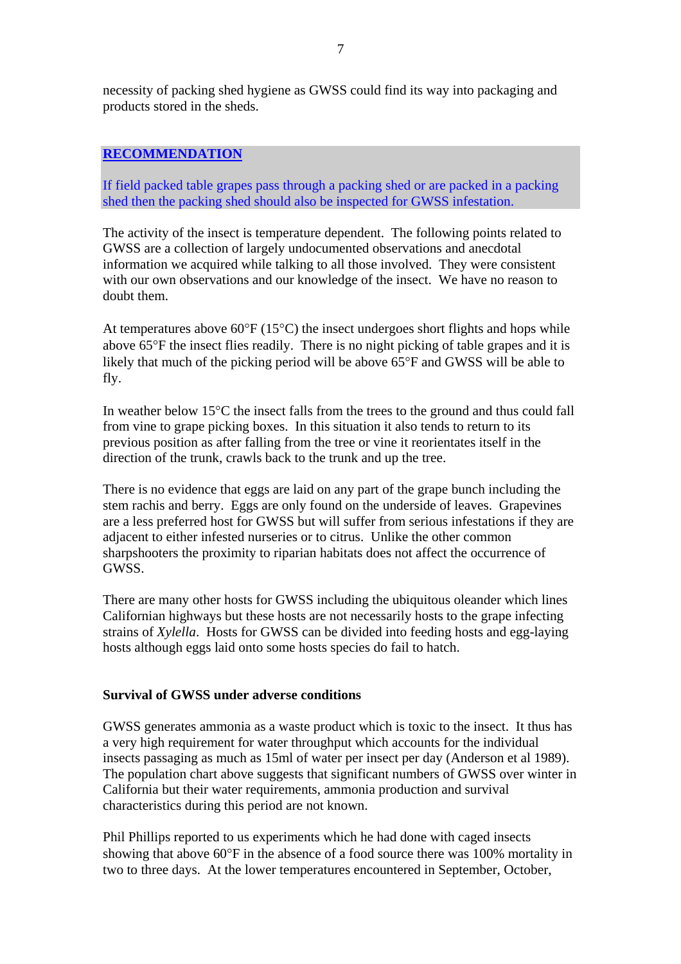necessity of packing shed hygiene as GWSS could find its way into packaging and products stored in the sheds.

## **RECOMMENDATION**

If field packed table grapes pass through a packing shed or are packed in a packing shed then the packing shed should also be inspected for GWSS infestation.

The activity of the insect is temperature dependent. The following points related to GWSS are a collection of largely undocumented observations and anecdotal information we acquired while talking to all those involved. They were consistent with our own observations and our knowledge of the insect. We have no reason to doubt them.

At temperatures above  $60^{\circ}F(15^{\circ}C)$  the insect undergoes short flights and hops while above 65°F the insect flies readily. There is no night picking of table grapes and it is likely that much of the picking period will be above 65°F and GWSS will be able to fly.

In weather below 15°C the insect falls from the trees to the ground and thus could fall from vine to grape picking boxes. In this situation it also tends to return to its previous position as after falling from the tree or vine it reorientates itself in the direction of the trunk, crawls back to the trunk and up the tree.

There is no evidence that eggs are laid on any part of the grape bunch including the stem rachis and berry. Eggs are only found on the underside of leaves. Grapevines are a less preferred host for GWSS but will suffer from serious infestations if they are adjacent to either infested nurseries or to citrus. Unlike the other common sharpshooters the proximity to riparian habitats does not affect the occurrence of GWSS.

There are many other hosts for GWSS including the ubiquitous oleander which lines Californian highways but these hosts are not necessarily hosts to the grape infecting strains of *Xylella*. Hosts for GWSS can be divided into feeding hosts and egg-laying hosts although eggs laid onto some hosts species do fail to hatch.

## **Survival of GWSS under adverse conditions**

GWSS generates ammonia as a waste product which is toxic to the insect. It thus has a very high requirement for water throughput which accounts for the individual insects passaging as much as 15ml of water per insect per day (Anderson et al 1989). The population chart above suggests that significant numbers of GWSS over winter in California but their water requirements, ammonia production and survival characteristics during this period are not known.

Phil Phillips reported to us experiments which he had done with caged insects showing that above 60°F in the absence of a food source there was 100% mortality in two to three days. At the lower temperatures encountered in September, October,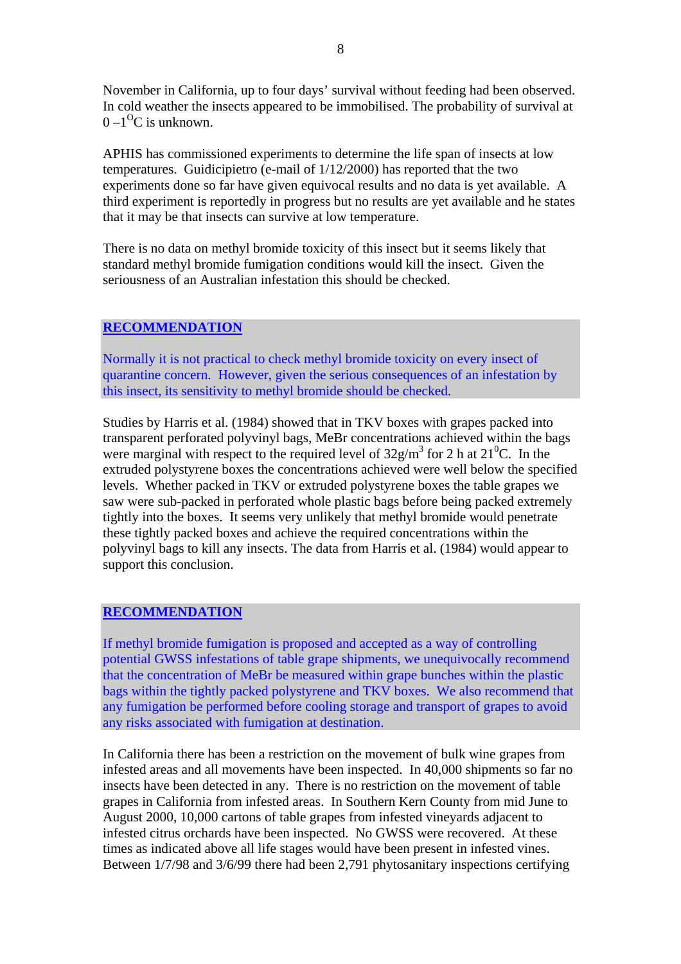November in California, up to four days' survival without feeding had been observed. In cold weather the insects appeared to be immobilised. The probability of survival at  $0 - 1$ <sup>O</sup>C is unknown.

APHIS has commissioned experiments to determine the life span of insects at low temperatures. Guidicipietro (e-mail of 1/12/2000) has reported that the two experiments done so far have given equivocal results and no data is yet available. A third experiment is reportedly in progress but no results are yet available and he states that it may be that insects can survive at low temperature.

There is no data on methyl bromide toxicity of this insect but it seems likely that standard methyl bromide fumigation conditions would kill the insect. Given the seriousness of an Australian infestation this should be checked.

## **RECOMMENDATION**

Normally it is not practical to check methyl bromide toxicity on every insect of quarantine concern. However, given the serious consequences of an infestation by this insect, its sensitivity to methyl bromide should be checked.

Studies by Harris et al. (1984) showed that in TKV boxes with grapes packed into transparent perforated polyvinyl bags, MeBr concentrations achieved within the bags were marginal with respect to the required level of  $32g/m^3$  for 2 h at  $21^0C$ . In the extruded polystyrene boxes the concentrations achieved were well below the specified levels. Whether packed in TKV or extruded polystyrene boxes the table grapes we saw were sub-packed in perforated whole plastic bags before being packed extremely tightly into the boxes. It seems very unlikely that methyl bromide would penetrate these tightly packed boxes and achieve the required concentrations within the polyvinyl bags to kill any insects. The data from Harris et al. (1984) would appear to support this conclusion.

## **RECOMMENDATION**

If methyl bromide fumigation is proposed and accepted as a way of controlling potential GWSS infestations of table grape shipments, we unequivocally recommend that the concentration of MeBr be measured within grape bunches within the plastic bags within the tightly packed polystyrene and TKV boxes. We also recommend that any fumigation be performed before cooling storage and transport of grapes to avoid any risks associated with fumigation at destination.

In California there has been a restriction on the movement of bulk wine grapes from infested areas and all movements have been inspected. In 40,000 shipments so far no insects have been detected in any. There is no restriction on the movement of table grapes in California from infested areas. In Southern Kern County from mid June to August 2000, 10,000 cartons of table grapes from infested vineyards adjacent to infested citrus orchards have been inspected. No GWSS were recovered. At these times as indicated above all life stages would have been present in infested vines. Between 1/7/98 and 3/6/99 there had been 2,791 phytosanitary inspections certifying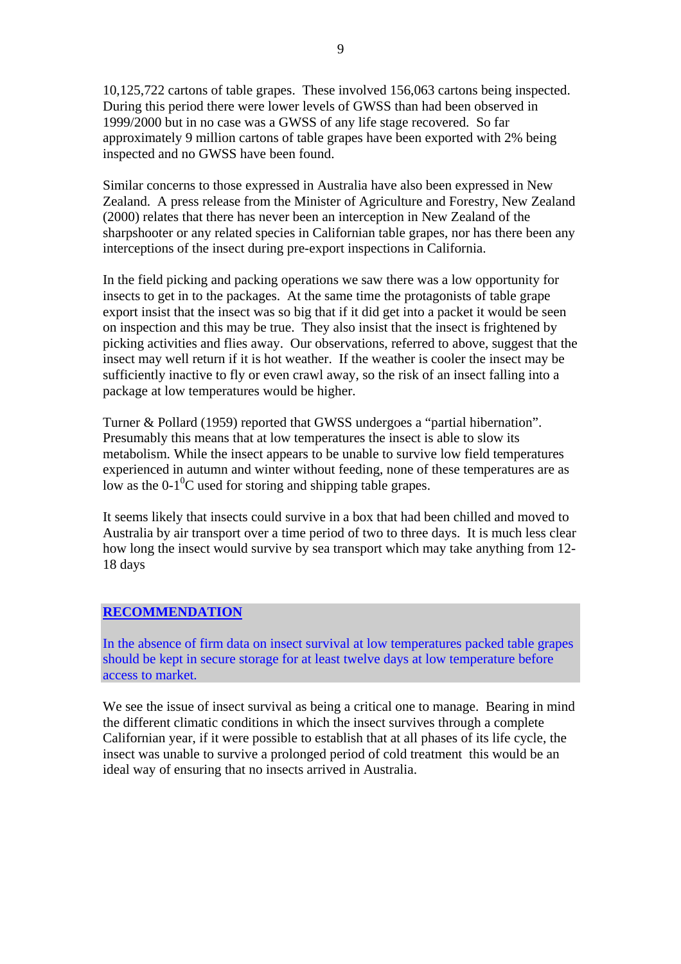10,125,722 cartons of table grapes. These involved 156,063 cartons being inspected. During this period there were lower levels of GWSS than had been observed in 1999/2000 but in no case was a GWSS of any life stage recovered. So far approximately 9 million cartons of table grapes have been exported with 2% being inspected and no GWSS have been found.

Similar concerns to those expressed in Australia have also been expressed in New Zealand. A press release from the Minister of Agriculture and Forestry, New Zealand (2000) relates that there has never been an interception in New Zealand of the sharpshooter or any related species in Californian table grapes, nor has there been any interceptions of the insect during pre-export inspections in California.

In the field picking and packing operations we saw there was a low opportunity for insects to get in to the packages. At the same time the protagonists of table grape export insist that the insect was so big that if it did get into a packet it would be seen on inspection and this may be true. They also insist that the insect is frightened by picking activities and flies away. Our observations, referred to above, suggest that the insect may well return if it is hot weather. If the weather is cooler the insect may be sufficiently inactive to fly or even crawl away, so the risk of an insect falling into a package at low temperatures would be higher.

Turner & Pollard (1959) reported that GWSS undergoes a "partial hibernation". Presumably this means that at low temperatures the insect is able to slow its metabolism. While the insect appears to be unable to survive low field temperatures experienced in autumn and winter without feeding, none of these temperatures are as low as the  $0-1<sup>0</sup>C$  used for storing and shipping table grapes.

It seems likely that insects could survive in a box that had been chilled and moved to Australia by air transport over a time period of two to three days. It is much less clear how long the insect would survive by sea transport which may take anything from 12- 18 days

## **RECOMMENDATION**

In the absence of firm data on insect survival at low temperatures packed table grapes should be kept in secure storage for at least twelve days at low temperature before access to market.

We see the issue of insect survival as being a critical one to manage. Bearing in mind the different climatic conditions in which the insect survives through a complete Californian year, if it were possible to establish that at all phases of its life cycle, the insect was unable to survive a prolonged period of cold treatment this would be an ideal way of ensuring that no insects arrived in Australia.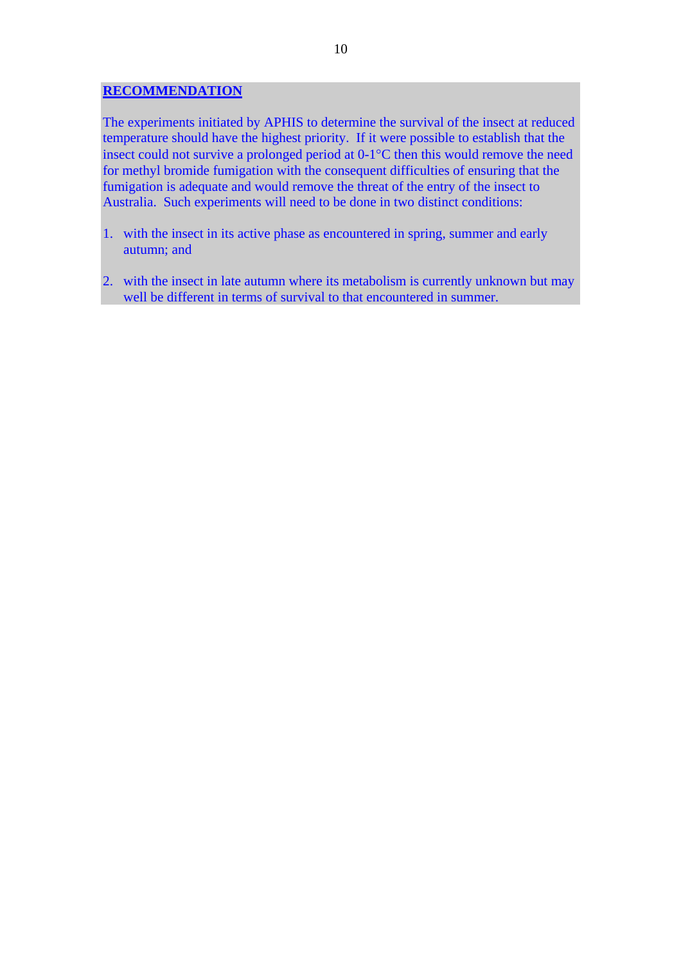## **RECOMMENDATION**

The experiments initiated by APHIS to determine the survival of the insect at reduced temperature should have the highest priority. If it were possible to establish that the insect could not survive a prolonged period at 0-1°C then this would remove the need for methyl bromide fumigation with the consequent difficulties of ensuring that the fumigation is adequate and would remove the threat of the entry of the insect to Australia. Such experiments will need to be done in two distinct conditions:

- 1. with the insect in its active phase as encountered in spring, summer and early autumn; and
- 2. with the insect in late autumn where its metabolism is currently unknown but may well be different in terms of survival to that encountered in summer.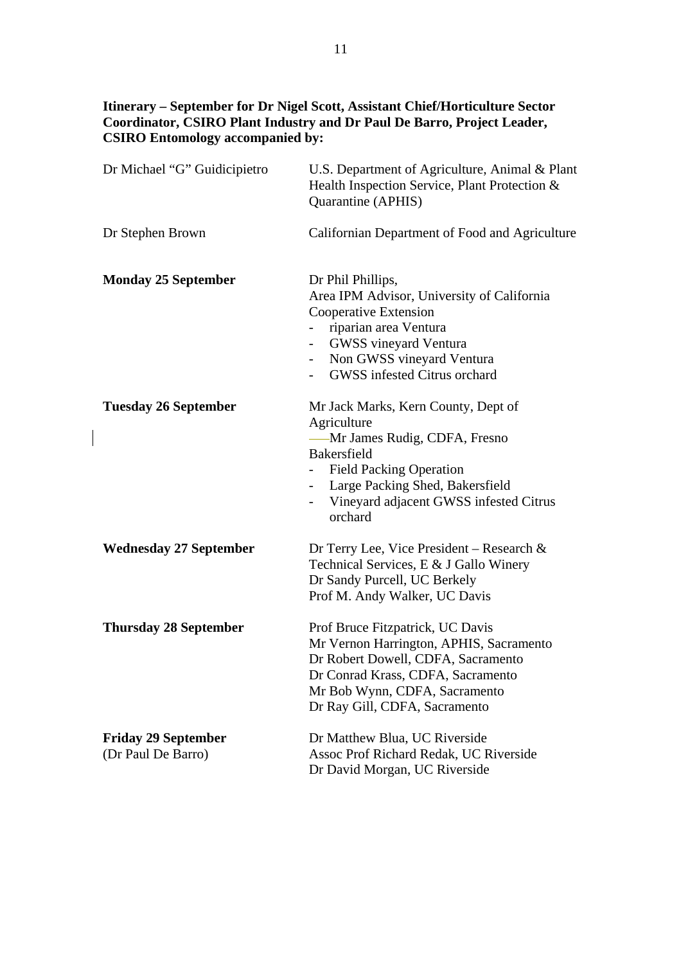# **Itinerary – September for Dr Nigel Scott, Assistant Chief/Horticulture Sector Coordinator, CSIRO Plant Industry and Dr Paul De Barro, Project Leader, CSIRO Entomology accompanied by:**

| Dr Michael "G" Guidicipietro                     | U.S. Department of Agriculture, Animal & Plant<br>Health Inspection Service, Plant Protection &<br>Quarantine (APHIS)                                                                                                                                 |
|--------------------------------------------------|-------------------------------------------------------------------------------------------------------------------------------------------------------------------------------------------------------------------------------------------------------|
| Dr Stephen Brown                                 | Californian Department of Food and Agriculture                                                                                                                                                                                                        |
| <b>Monday 25 September</b>                       | Dr Phil Phillips,<br>Area IPM Advisor, University of California<br>Cooperative Extension<br>riparian area Ventura<br>GWSS vineyard Ventura<br>Non GWSS vineyard Ventura<br>GWSS infested Citrus orchard                                               |
| <b>Tuesday 26 September</b>                      | Mr Jack Marks, Kern County, Dept of<br>Agriculture<br>-Mr James Rudig, CDFA, Fresno<br><b>Bakersfield</b><br><b>Field Packing Operation</b><br>Large Packing Shed, Bakersfield<br>$\blacksquare$<br>Vineyard adjacent GWSS infested Citrus<br>orchard |
| <b>Wednesday 27 September</b>                    | Dr Terry Lee, Vice President – Research $\&$<br>Technical Services, E & J Gallo Winery<br>Dr Sandy Purcell, UC Berkely<br>Prof M. Andy Walker, UC Davis                                                                                               |
| <b>Thursday 28 September</b>                     | Prof Bruce Fitzpatrick, UC Davis<br>Mr Vernon Harrington, APHIS, Sacramento<br>Dr Robert Dowell, CDFA, Sacramento<br>Dr Conrad Krass, CDFA, Sacramento<br>Mr Bob Wynn, CDFA, Sacramento<br>Dr Ray Gill, CDFA, Sacramento                              |
| <b>Friday 29 September</b><br>(Dr Paul De Barro) | Dr Matthew Blua, UC Riverside<br>Assoc Prof Richard Redak, UC Riverside<br>Dr David Morgan, UC Riverside                                                                                                                                              |

 $\begin{array}{c} \hline \end{array}$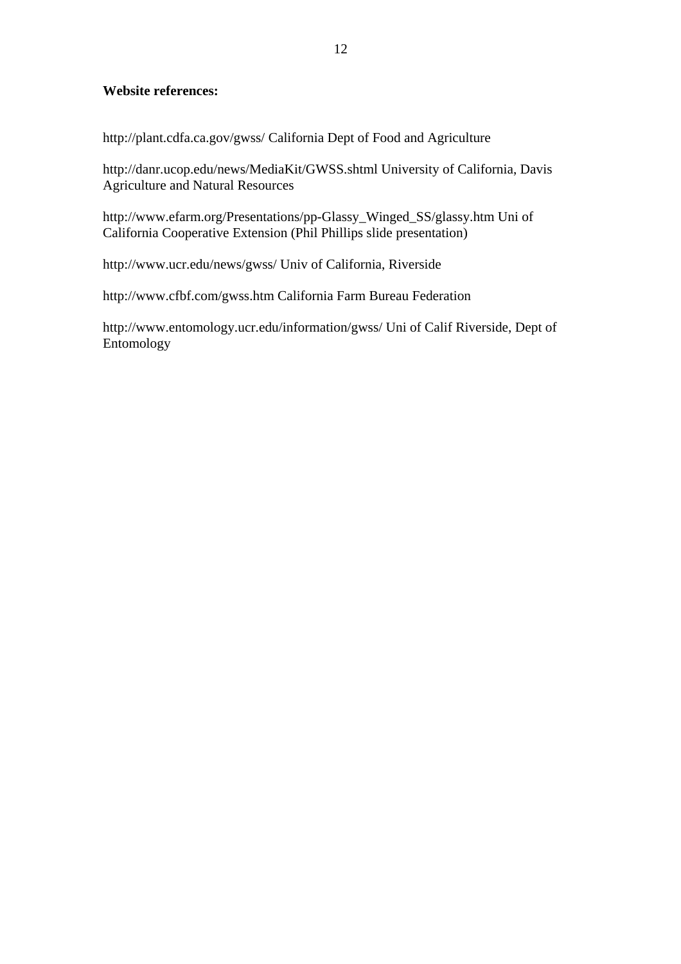## **Website references:**

http://plant.cdfa.ca.gov/gwss/ California Dept of Food and Agriculture

http://danr.ucop.edu/news/MediaKit/GWSS.shtml University of California, Davis Agriculture and Natural Resources

http://www.efarm.org/Presentations/pp-Glassy\_Winged\_SS/glassy.htm Uni of California Cooperative Extension (Phil Phillips slide presentation)

http://www.ucr.edu/news/gwss/ Univ of California, Riverside

http://www.cfbf.com/gwss.htm California Farm Bureau Federation

http://www.entomology.ucr.edu/information/gwss/ Uni of Calif Riverside, Dept of Entomology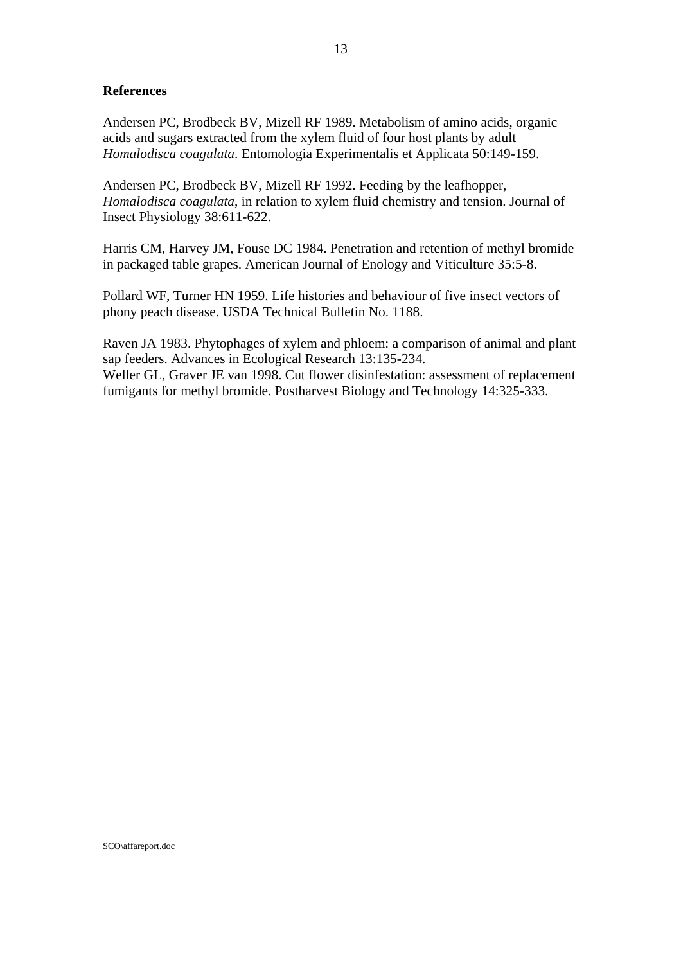## **References**

Andersen PC, Brodbeck BV, Mizell RF 1989. Metabolism of amino acids, organic acids and sugars extracted from the xylem fluid of four host plants by adult *Homalodisca coagulata*. Entomologia Experimentalis et Applicata 50:149-159.

Andersen PC, Brodbeck BV, Mizell RF 1992. Feeding by the leafhopper, *Homalodisca coagulata*, in relation to xylem fluid chemistry and tension. Journal of Insect Physiology 38:611-622.

Harris CM, Harvey JM, Fouse DC 1984. Penetration and retention of methyl bromide in packaged table grapes. American Journal of Enology and Viticulture 35:5-8.

Pollard WF, Turner HN 1959. Life histories and behaviour of five insect vectors of phony peach disease. USDA Technical Bulletin No. 1188.

Raven JA 1983. Phytophages of xylem and phloem: a comparison of animal and plant sap feeders. Advances in Ecological Research 13:135-234. Weller GL, Graver JE van 1998. Cut flower disinfestation: assessment of replacement

fumigants for methyl bromide. Postharvest Biology and Technology 14:325-333.

SCO\affareport.doc